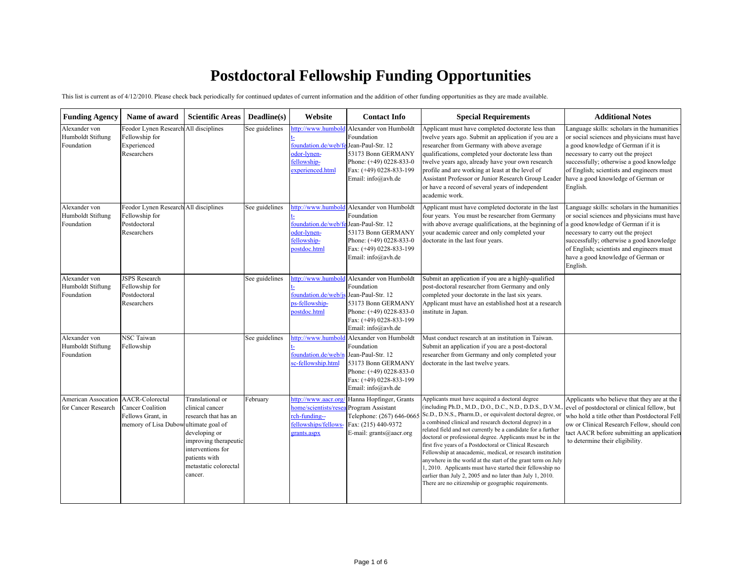## **Postdoctoral Fellowship Fundin g Opportunities**

This list is current as of 4/12/2010. Please check back periodically for continued updates of current information and the addition of other funding opportunities as they are made available.

| <b>Funding Agency</b>                            | Name of award                                                                                                  | <b>Scientific Areas</b>                                                                                                                                                         | Deadline(s)    | Website                                                                                            | <b>Contact Info</b>                                                                                                                                           | <b>Special Requirements</b>                                                                                                                                                                                                                                                                                                                                                                                                                                                                                                                                                                                                                                                                                                                  | <b>Additional Notes</b>                                                                                                                                                                                                                                                                                            |
|--------------------------------------------------|----------------------------------------------------------------------------------------------------------------|---------------------------------------------------------------------------------------------------------------------------------------------------------------------------------|----------------|----------------------------------------------------------------------------------------------------|---------------------------------------------------------------------------------------------------------------------------------------------------------------|----------------------------------------------------------------------------------------------------------------------------------------------------------------------------------------------------------------------------------------------------------------------------------------------------------------------------------------------------------------------------------------------------------------------------------------------------------------------------------------------------------------------------------------------------------------------------------------------------------------------------------------------------------------------------------------------------------------------------------------------|--------------------------------------------------------------------------------------------------------------------------------------------------------------------------------------------------------------------------------------------------------------------------------------------------------------------|
| Alexander von<br>Humboldt Stiftung<br>Foundation | Feodor Lynen Research All disciplines<br>Fellowship for<br>Experienced<br>Researchers                          |                                                                                                                                                                                 | See guidelines | ttp://www.humbold<br>foundation.de/web/fe<br>odor-lynen-<br>fellowship-<br>experienced.html        | Alexander von Humboldt<br>Foundation<br>Jean-Paul-Str. 12<br>53173 Bonn GERMANY<br>Phone: (+49) 0228-833-0<br>Fax: (+49) 0228-833-199<br>Email: info@avh.de   | Applicant must have completed doctorate less than<br>twelve years ago. Submit an application if you are a<br>researcher from Germany with above average<br>qualifications, completed your doctorate less than<br>twelve years ago, already have your own research<br>profile and are working at least at the level of<br>Assistant Professor or Junior Research Group Leader<br>or have a record of several years of independent<br>academic work.                                                                                                                                                                                                                                                                                           | Language skills: scholars in the humanities<br>or social sciences and physicians must have<br>a good knowledge of German if it is<br>necessary to carry out the project<br>successfully; otherwise a good knowledge<br>of English; scientists and engineers must<br>have a good knowledge of German or<br>English. |
| Alexander von<br>Humboldt Stiftung<br>Foundation | Feodor Lynen Research All disciplines<br>Fellowship for<br>Postdoctoral<br>Researchers                         |                                                                                                                                                                                 | See guidelines | ttp://www.humbold<br>foundation.de/web/fe<br>odor-lynen-<br>fellowship-<br>postdoc.html            | Alexander von Humboldt<br>Foundation<br>Jean-Paul-Str. 12<br>53173 Bonn GERMANY<br>Phone: $(+49)$ 0228-833-0<br>Fax: (+49) 0228-833-199<br>Email: info@avh.de | Applicant must have completed doctorate in the last<br>four years. You must be researcher from Germany<br>with above average qualifications, at the beginning of a good knowledge of German if it is<br>your academic career and only completed your<br>doctorate in the last four years.                                                                                                                                                                                                                                                                                                                                                                                                                                                    | Language skills: scholars in the humanities<br>or social sciences and physicians must have<br>necessary to carry out the project<br>successfully; otherwise a good knowledge<br>of English; scientists and engineers must<br>have a good knowledge of German or<br>English.                                        |
| Alexander von<br>Humboldt Stiftung<br>Foundation | <b>JSPS</b> Research<br>Fellowship for<br>Postdoctoral<br>Researchers                                          |                                                                                                                                                                                 | See guidelines | ttp://www.humbold<br>foundation.de/web/js<br>ps-fellowship-<br>postdoc.html                        | Alexander von Humboldt<br>Foundation<br>Jean-Paul-Str. 12<br>53173 Bonn GERMANY<br>Phone: (+49) 0228-833-0<br>Fax: (+49) 0228-833-199<br>Email: info@avh.de   | Submit an application if you are a highly-qualified<br>post-doctoral researcher from Germany and only<br>completed your doctorate in the last six years.<br>Applicant must have an established host at a research<br>institute in Japan.                                                                                                                                                                                                                                                                                                                                                                                                                                                                                                     |                                                                                                                                                                                                                                                                                                                    |
| Alexander von<br>Humboldt Stiftung<br>Foundation | <b>NSC Taiwan</b><br>Fellowship                                                                                |                                                                                                                                                                                 | See guidelines | http://www.humbolo<br>foundation.de/web/n<br>sc-fellowship.html                                    | Alexander von Humboldt<br>Foundation<br>Jean-Paul-Str. 12<br>53173 Bonn GERMANY<br>Phone: (+49) 0228-833-0<br>Fax: (+49) 0228-833-199<br>Email: info@avh.de   | Must conduct research at an institution in Taiwan.<br>Submit an application if you are a post-doctoral<br>researcher from Germany and only completed your<br>doctorate in the last twelve years.                                                                                                                                                                                                                                                                                                                                                                                                                                                                                                                                             |                                                                                                                                                                                                                                                                                                                    |
| American Assocation<br>for Cancer Research       | <b>AACR-Colorectal</b><br><b>Cancer Coalition</b><br>Fellows Grant, in<br>memory of Lisa Dubowultimate goal of | Translational or<br>clinical cancer<br>research that has an<br>developing or<br>improving therapeutic<br>interventions for<br>patients with<br>metastatic colorectal<br>cancer. | February       | nttp://www.aacr.org<br>nome/scientists/rese<br>ch-funding--<br>fellowships/fellows-<br>grants.aspx | Hanna Hopfinger, Grants<br>Program Assistant<br>Telephone: (267) 646-0665<br>Fax: (215) 440-9372<br>E-mail: grants@aacr.org                                   | Applicants must have acquired a doctoral degree<br>(including Ph.D., M.D., D.O., D.C., N.D., D.D.S., D.V.M.<br>Sc.D., D.N.S., Pharm.D., or equivalent doctoral degree, or<br>a combined clinical and research doctoral degree) in a<br>related field and not currently be a candidate for a further<br>doctoral or professional degree. Applicants must be in the<br>first five years of a Postdoctoral or Clinical Research<br>Fellowship at anacademic, medical, or research institution<br>anywhere in the world at the start of the grant term on July<br>1, 2010. Applicants must have started their fellowship no<br>earlier than July 2, 2005 and no later than July 1, 2010.<br>There are no citizenship or geographic requirements. | Applicants who believe that they are at the 1<br>evel of postdoctoral or clinical fellow, but<br>who hold a title other than Postdoctoral Fell<br>ow or Clinical Research Fellow, should con<br>tact AACR before submitting an application<br>to determine their eligibility.                                      |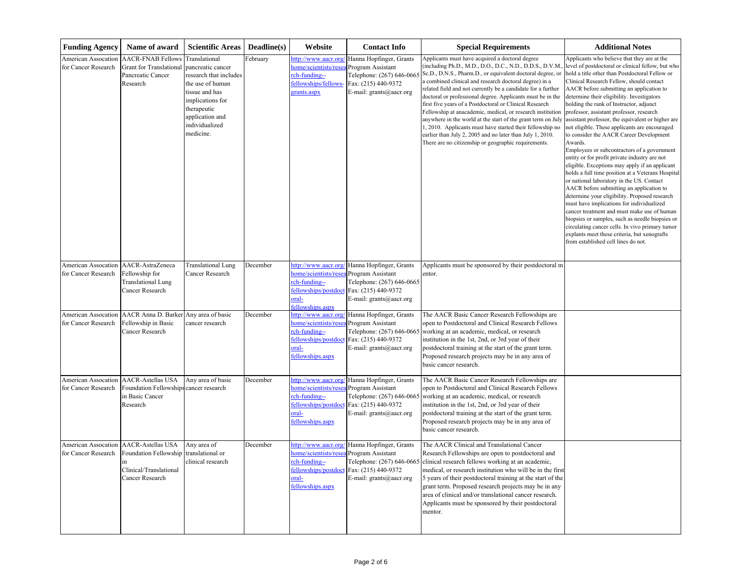| <b>Funding Agency</b>                      | Name of award                                                                                                         | <b>Scientific Areas</b>                                                                                                                                                                 | Deadline(s) | Website                                                                                                          | <b>Contact Info</b>                                                                                                         | <b>Special Requirements</b>                                                                                                                                                                                                                                                                                                                                                                                                                                                                                                                                                                                                                                                                                                                  | <b>Additional Notes</b>                                                                                                                                                                                                                                                                                                                                                                                                                                                                                                                                                                                                                                                                                                                                                                                                                                                                                                                                                                                                                                                                                                                                                               |
|--------------------------------------------|-----------------------------------------------------------------------------------------------------------------------|-----------------------------------------------------------------------------------------------------------------------------------------------------------------------------------------|-------------|------------------------------------------------------------------------------------------------------------------|-----------------------------------------------------------------------------------------------------------------------------|----------------------------------------------------------------------------------------------------------------------------------------------------------------------------------------------------------------------------------------------------------------------------------------------------------------------------------------------------------------------------------------------------------------------------------------------------------------------------------------------------------------------------------------------------------------------------------------------------------------------------------------------------------------------------------------------------------------------------------------------|---------------------------------------------------------------------------------------------------------------------------------------------------------------------------------------------------------------------------------------------------------------------------------------------------------------------------------------------------------------------------------------------------------------------------------------------------------------------------------------------------------------------------------------------------------------------------------------------------------------------------------------------------------------------------------------------------------------------------------------------------------------------------------------------------------------------------------------------------------------------------------------------------------------------------------------------------------------------------------------------------------------------------------------------------------------------------------------------------------------------------------------------------------------------------------------|
| American Assocation<br>for Cancer Research | <b>AACR-FNAB Fellows</b><br><b>Grant for Translational</b><br>Pancreatic Cancer<br>Research                           | Translational<br>pancreatic cancer<br>research that includes<br>the use of human<br>tissue and has<br>implications for<br>therapeutic<br>application and<br>individualized<br>medicine. | ebruary     | http://www.aacr.org<br>nome/scientists/rese<br>ch-funding--<br>fellowships/fellows-<br>grants.aspx               | Hanna Hopfinger, Grants<br>Program Assistant<br>Telephone: (267) 646-0665<br>Fax: (215) 440-9372<br>E-mail: grants@aacr.org | Applicants must have acquired a doctoral degree<br>(including Ph.D., M.D., D.O., D.C., N.D., D.D.S., D.V.M.<br>Sc.D., D.N.S., Pharm.D., or equivalent doctoral degree, or<br>a combined clinical and research doctoral degree) in a<br>related field and not currently be a candidate for a further<br>doctoral or professional degree. Applicants must be in the<br>first five years of a Postdoctoral or Clinical Research<br>Fellowship at anacademic, medical, or research institution<br>anywhere in the world at the start of the grant term on July<br>1, 2010. Applicants must have started their fellowship no<br>earlier than July 2, 2005 and no later than July 1, 2010.<br>There are no citizenship or geographic requirements. | Applicants who believe that they are at the<br>level of postdoctoral or clinical fellow, but who<br>hold a title other than Postdoctoral Fellow or<br>Clinical Research Fellow, should contact<br>AACR before submitting an application to<br>determine their eligibility. Investigators<br>holding the rank of Instructor, adjunct<br>professor, assistant professor, research<br>assistant professor, the equivalent or higher are<br>not eligible. These applicants are encouraged<br>to consider the AACR Career Development<br>Awards.<br>Employees or subcontractors of a government<br>entity or for profit private industry are not<br>eligible. Exceptions may apply if an applicant<br>holds a full time position at a Veterans Hospital<br>or national laboratory in the US. Contact<br>AACR before submitting an application to<br>determine your eligibility. Proposed research<br>must have implications for individualized<br>cancer treatment and must make use of human<br>biopsies or samples, such as needle biopsies or<br>circulating cancer cells. In vivo primary tumor<br>explants meet these criteria, but xenografts<br>from established cell lines do not. |
| American Assocation<br>for Cancer Research | AACR-AstraZeneca<br>Fellowship for<br><b>Translational Lung</b><br><b>Cancer Research</b>                             | <b>Translational Lung</b><br>Cancer Research                                                                                                                                            | December    | http://www.aacr.org<br>nome/scientists/rese<br>rch-funding--<br>fellowships/postdoct<br>-lsto<br>ellowships.aspx | Hanna Hopfinger, Grants<br>Program Assistant<br>Telephone: (267) 646-0665<br>Fax: (215) 440-9372<br>E-mail: grants@aacr.org | Applicants must be sponsored by their postdoctoral m<br>entor.                                                                                                                                                                                                                                                                                                                                                                                                                                                                                                                                                                                                                                                                               |                                                                                                                                                                                                                                                                                                                                                                                                                                                                                                                                                                                                                                                                                                                                                                                                                                                                                                                                                                                                                                                                                                                                                                                       |
| American Assocation<br>for Cancer Research | AACR Anna D. Barker<br>Fellowship in Basic<br>Cancer Research                                                         | Any area of basic<br>cancer research                                                                                                                                                    | December    | ttp://www.aacr.org<br>nome/scientists/rese<br>ch-funding--<br>ellowships/postdoc<br>-bra<br>ellowships.aspx      | Hanna Hopfinger, Grants<br>Program Assistant<br>Telephone: (267) 646-0665<br>Fax: (215) 440-9372<br>E-mail: grants@aacr.org | The AACR Basic Cancer Research Fellowships are<br>open to Postdoctoral and Clinical Research Fellows<br>working at an academic, medical, or research<br>institution in the 1st, 2nd, or 3rd year of their<br>postdoctoral training at the start of the grant term.<br>Proposed research projects may be in any area of<br>basic cancer research.                                                                                                                                                                                                                                                                                                                                                                                             |                                                                                                                                                                                                                                                                                                                                                                                                                                                                                                                                                                                                                                                                                                                                                                                                                                                                                                                                                                                                                                                                                                                                                                                       |
| American Assocation<br>for Cancer Research | <b>AACR-Astellas USA</b><br>Foundation Fellowships cancer research<br>in Basic Cancer<br>Research                     | Any area of basic                                                                                                                                                                       | December    | http://www.aacr.org<br>home/scientists/rese<br>ch-funding--<br>fellowships/postdoct<br>-bra<br>fellowships.aspx  | Hanna Hopfinger, Grants<br>Program Assistant<br>Telephone: (267) 646-0665<br>Fax: (215) 440-9372<br>E-mail: grants@aacr.org | The AACR Basic Cancer Research Fellowships are<br>open to Postdoctoral and Clinical Research Fellows<br>working at an academic, medical, or research<br>institution in the 1st, 2nd, or 3rd year of their<br>postdoctoral training at the start of the grant term.<br>Proposed research projects may be in any area of<br>basic cancer research.                                                                                                                                                                                                                                                                                                                                                                                             |                                                                                                                                                                                                                                                                                                                                                                                                                                                                                                                                                                                                                                                                                                                                                                                                                                                                                                                                                                                                                                                                                                                                                                                       |
| American Assocation<br>for Cancer Research | <b>AACR-Astellas USA</b><br>Foundation Fellowship translational or<br>in<br>Clinical/Translational<br>Cancer Research | Any area of<br>clinical research                                                                                                                                                        | December    | home/scientists/resea Program Assistant<br>rch-funding--<br>fellowships/postdoct<br>-lsrc<br>fellowships.aspx    | http://www.aacr.org/ Hanna Hopfinger, Grants<br>Fax: (215) 440-9372<br>E-mail: $grants$ $@$ aacr.org                        | The AACR Clinical and Translational Cancer<br>Research Fellowships are open to postdoctoral and<br>Telephone: (267) 646-0665 clinical research fellows working at an academic,<br>medical, or research institution who will be in the first<br>5 years of their postdoctoral training at the start of the<br>grant term. Proposed research projects may be in any<br>area of clinical and/or translational cancer research.<br>Applicants must be sponsored by their postdoctoral<br>mentor.                                                                                                                                                                                                                                                 |                                                                                                                                                                                                                                                                                                                                                                                                                                                                                                                                                                                                                                                                                                                                                                                                                                                                                                                                                                                                                                                                                                                                                                                       |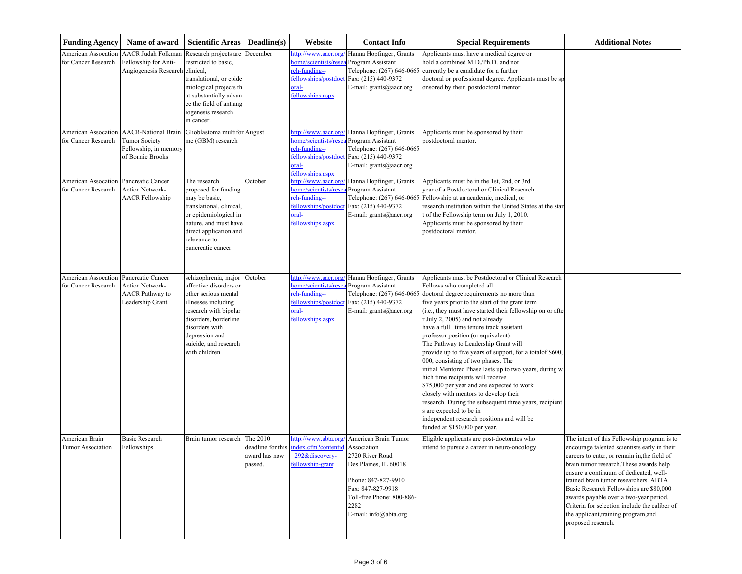| <b>Funding Agency</b>                      | Name of award                                                                                   | <b>Scientific Areas</b>                                                                                                                                                                                                       | Deadline(s)                          | Website                                                                                                           | <b>Contact Info</b>                                                                                                                                                        | <b>Special Requirements</b>                                                                                                                                                                                                                                                                                                                                                                                                                                                                                                                                                                                                                                                                                                                                                                                                                                                | <b>Additional Notes</b>                                                                                                                                                                                                                                                                                                                                                                                                                                                       |
|--------------------------------------------|-------------------------------------------------------------------------------------------------|-------------------------------------------------------------------------------------------------------------------------------------------------------------------------------------------------------------------------------|--------------------------------------|-------------------------------------------------------------------------------------------------------------------|----------------------------------------------------------------------------------------------------------------------------------------------------------------------------|----------------------------------------------------------------------------------------------------------------------------------------------------------------------------------------------------------------------------------------------------------------------------------------------------------------------------------------------------------------------------------------------------------------------------------------------------------------------------------------------------------------------------------------------------------------------------------------------------------------------------------------------------------------------------------------------------------------------------------------------------------------------------------------------------------------------------------------------------------------------------|-------------------------------------------------------------------------------------------------------------------------------------------------------------------------------------------------------------------------------------------------------------------------------------------------------------------------------------------------------------------------------------------------------------------------------------------------------------------------------|
| American Assocation<br>for Cancer Research | <b>AACR Judah Folkman</b><br>Fellowship for Anti-<br>Angiogenesis Research                      | Research projects are<br>restricted to basic,<br>clinical,<br>translational, or epide<br>miological projects th<br>at substantially advan<br>ce the field of antiang<br>iogenesis research<br>in cancer.                      | December                             | nttp://www.aacr.org<br>nome/scientists/rese<br>rch-funding--<br>fellowships/postdoc<br>oral-<br>fellowships.aspx  | Hanna Hopfinger, Grants<br>Program Assistant<br>Telephone: (267) 646-0665<br>Fax: (215) 440-9372<br>E-mail: grants@aacr.org                                                | Applicants must have a medical degree or<br>hold a combined M.D./Ph.D. and not<br>currently be a candidate for a further<br>doctoral or professional degree. Applicants must be sp<br>onsored by their postdoctoral mentor.                                                                                                                                                                                                                                                                                                                                                                                                                                                                                                                                                                                                                                                |                                                                                                                                                                                                                                                                                                                                                                                                                                                                               |
| American Assocation<br>for Cancer Research | <b>AACR-National Brain</b><br><b>Tumor Society</b><br>Fellowship, in memory<br>of Bonnie Brooks | Glioblastoma multifor<br>me (GBM) research                                                                                                                                                                                    | August                               | http://www.aacr.org/<br>nome/scientists/rese<br>rch-funding--<br>fellowships/postdoc<br>oral-<br>fellowships.aspx | Hanna Hopfinger, Grants<br>Program Assistant<br>Telephone: (267) 646-0665<br>Fax: (215) 440-9372<br>E-mail: grants@aacr.org                                                | Applicants must be sponsored by their<br>postdoctoral mentor.                                                                                                                                                                                                                                                                                                                                                                                                                                                                                                                                                                                                                                                                                                                                                                                                              |                                                                                                                                                                                                                                                                                                                                                                                                                                                                               |
| American Assocation<br>for Cancer Research | Pancreatic Cancer<br>Action Network-<br><b>AACR Fellowship</b>                                  | The research<br>proposed for funding<br>may be basic,<br>translational, clinical<br>or epidemiological in<br>nature, and must have<br>direct application and<br>relevance to<br>pancreatic cancer.                            | October                              | http://www.aacr.org<br>nome/scientists/rese<br>rch-funding--<br>fellowships/postdoc<br>oral-<br>fellowships.aspx  | Hanna Hopfinger, Grants<br>Program Assistant<br>Telephone: (267) 646-0665<br>Fax: (215) 440-9372<br>E-mail: grants@aacr.org                                                | Applicants must be in the 1st, 2nd, or 3rd<br>year of a Postdoctoral or Clinical Research<br>Fellowship at an academic, medical, or<br>research institution within the United States at the star<br>t of the Fellowship term on July 1, 2010.<br>Applicants must be sponsored by their<br>postdoctoral mentor.                                                                                                                                                                                                                                                                                                                                                                                                                                                                                                                                                             |                                                                                                                                                                                                                                                                                                                                                                                                                                                                               |
| American Assocation<br>for Cancer Research | Pancreatic Cancer<br><b>Action Network-</b><br><b>AACR</b> Pathway to<br>Leadership Grant       | schizophrenia, major<br>affective disorders or<br>other serious mental<br>illnesses including<br>research with bipolar<br>disorders, borderline<br>disorders with<br>depression and<br>suicide, and research<br>with children | October                              | http://www.aacr.org<br>nome/scientists/rese<br>rch-funding--<br>fellowships/postdoc<br>oral-<br>fellowships.aspx  | Hanna Hopfinger, Grants<br>Program Assistant<br>Telephone: (267) 646-0665<br>Fax: (215) 440-9372<br>E-mail: grants@aacr.org                                                | Applicants must be Postdoctoral or Clinical Research<br>Fellows who completed all<br>doctoral degree requirements no more than<br>five years prior to the start of the grant term<br>(i.e., they must have started their fellowship on or after<br>r July 2, 2005) and not already<br>have a full time tenure track assistant<br>professor position (or equivalent).<br>The Pathway to Leadership Grant will<br>provide up to five years of support, for a total of \$600,<br>000, consisting of two phases. The<br>initial Mentored Phase lasts up to two years, during w<br>hich time recipients will receive<br>\$75,000 per year and are expected to work<br>closely with mentors to develop their<br>research. During the subsequent three years, recipient<br>s are expected to be in<br>independent research positions and will be<br>funded at \$150,000 per year. |                                                                                                                                                                                                                                                                                                                                                                                                                                                                               |
| American Brain<br>Tumor Association        | <b>Basic Research</b><br>Fellowships                                                            | Brain tumor research                                                                                                                                                                                                          | The 2010<br>award has now<br>passed. | http://www.abta.org/<br>deadline for this index.cfm?contentid Association<br>=292&discovery-<br>fellowship-grant  | American Brain Tumor<br>2720 River Road<br>Des Plaines, IL 60018<br>Phone: 847-827-9910<br>Fax: 847-827-9918<br>Toll-free Phone: 800-886-<br>2282<br>E-mail: info@abta.org | Eligible applicants are post-doctorates who<br>intend to pursue a career in neuro-oncology.                                                                                                                                                                                                                                                                                                                                                                                                                                                                                                                                                                                                                                                                                                                                                                                | The intent of this Fellowship program is to<br>encourage talented scientists early in their<br>careers to enter, or remain in, the field of<br>brain tumor research. These awards help<br>ensure a continuum of dedicated, well-<br>trained brain tumor researchers. ABTA<br>Basic Research Fellowships are \$80,000<br>awards payable over a two-year period.<br>Criteria for selection include the caliber of<br>the applicant, training program, and<br>proposed research. |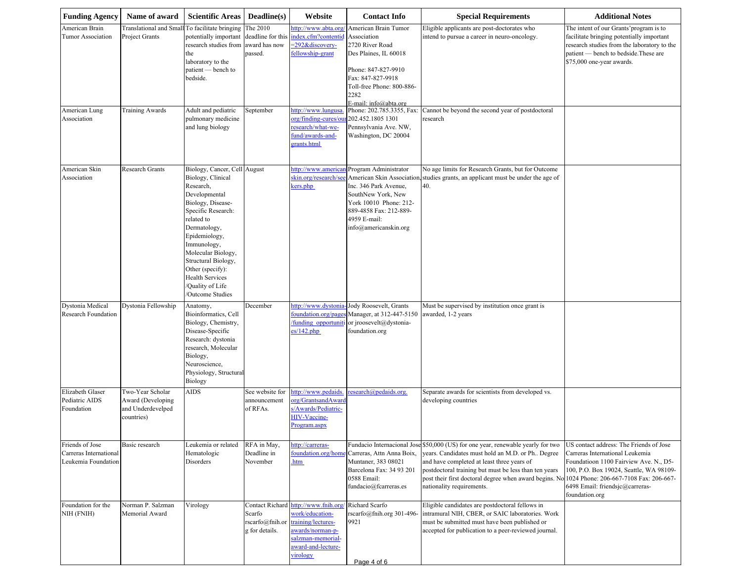| <b>Funding Agency</b>                                            | Name of award                                                              | <b>Scientific Areas</b>                                                                                                                                                                                                                                                                                                   | Deadline(s)                                                            | Website                                                                                                                                                  | <b>Contact Info</b>                                                                                                                                                                       | <b>Special Requirements</b>                                                                                                                                                                                                                                                                                                                                               | <b>Additional Notes</b>                                                                                                                                                                                              |
|------------------------------------------------------------------|----------------------------------------------------------------------------|---------------------------------------------------------------------------------------------------------------------------------------------------------------------------------------------------------------------------------------------------------------------------------------------------------------------------|------------------------------------------------------------------------|----------------------------------------------------------------------------------------------------------------------------------------------------------|-------------------------------------------------------------------------------------------------------------------------------------------------------------------------------------------|---------------------------------------------------------------------------------------------------------------------------------------------------------------------------------------------------------------------------------------------------------------------------------------------------------------------------------------------------------------------------|----------------------------------------------------------------------------------------------------------------------------------------------------------------------------------------------------------------------|
| American Brain<br>Tumor Association<br>American Lung             | <b>Translational and Small</b><br>Project Grants<br><b>Training Awards</b> | To facilitate bringing<br>potentially important<br>research studies from<br>the<br>laboratory to the<br>patient — bench to<br>bedside.<br>Adult and pediatric                                                                                                                                                             | The 2010<br>deadline for this<br>award has now<br>passed.<br>September | http://www.abta.org<br>index.cfm?contentid<br>=292&discovery-<br>fellowship-grant<br>ttp://www.lungusa                                                   | American Brain Tumor<br>Association<br>2720 River Road<br>Des Plaines, IL 60018<br>Phone: 847-827-9910<br>Fax: 847-827-9918<br>Toll-free Phone: 800-886-<br>2282<br>E-mail: info@abta.org | Eligible applicants are post-doctorates who<br>intend to pursue a career in neuro-oncology.<br>Phone: 202.785.3355, Fax: Cannot be beyond the second year of postdoctoral                                                                                                                                                                                                 | The intent of our Grants' program is to<br>facilitate bringing potentially important<br>research studies from the laboratory to the<br>patient — bench to bedside. These are<br>\$75,000 one-year awards.            |
| Association                                                      |                                                                            | pulmonary medicine<br>and lung biology                                                                                                                                                                                                                                                                                    |                                                                        | org/finding-cures/ou<br>esearch/what-we-<br>fund/awards-and-<br>grants.html                                                                              | 202.452.1805 1301<br>Pennsylvania Ave. NW,<br>Washington, DC 20004                                                                                                                        | research                                                                                                                                                                                                                                                                                                                                                                  |                                                                                                                                                                                                                      |
| American Skin<br>Association                                     | Research Grants                                                            | Biology, Cancer, Cell August<br>Biology, Clinical<br>Research,<br>Developmental<br>Biology, Disease-<br>Specific Research:<br>related to<br>Dermatology,<br>Epidemiology,<br>Immunology,<br>Molecular Biology,<br>Structural Biology,<br>Other (specify):<br><b>Health Services</b><br>Quality of Life<br>Outcome Studies |                                                                        | http://www.america<br>skin.org/research/see<br>kers.php                                                                                                  | Program Administrator<br>Inc. 346 Park Avenue,<br>SouthNew York, New<br>York 10010 Phone: 212-<br>889-4858 Fax: 212-889-<br>4959 E-mail:<br>info@americanskin.org                         | No age limits for Research Grants, but for Outcome<br>American Skin Association, studies grants, an applicant must be under the age of<br>40.                                                                                                                                                                                                                             |                                                                                                                                                                                                                      |
| Dystonia Medical<br><b>Research Foundation</b>                   | Dystonia Fellowship                                                        | Anatomy,<br>Bioinformatics, Cell<br>Biology, Chemistry,<br>Disease-Specific<br>Research: dystonia<br>research, Molecular<br>Biology,<br>Neuroscience,<br>Physiology, Structural<br>Biology                                                                                                                                | December                                                               | nttp://www.dystonia<br>oundation.org/page<br>funding opportunit<br>es/142.php                                                                            | Jody Roosevelt, Grants<br>Manager, at 312-447-5150<br>or jroosevelt@dystonia-<br>foundation.org                                                                                           | Must be supervised by institution once grant is<br>awarded, 1-2 years                                                                                                                                                                                                                                                                                                     |                                                                                                                                                                                                                      |
| Elizabeth Glaser<br>Pediatric AIDS<br>Foundation                 | Two-Year Scholar<br>Award (Developing<br>and Underdevelped<br>countries)   | <b>AIDS</b>                                                                                                                                                                                                                                                                                                               | See website for<br>announcement<br>of RFAs.                            | ttp://www.pedaids<br>rg/GrantsandAward<br>/Awards/Pediatric-<br><b>HIV-Vaccine-</b><br>Program.aspx                                                      | research@pedaids.org.                                                                                                                                                                     | Separate awards for scientists from developed vs.<br>developing countries                                                                                                                                                                                                                                                                                                 |                                                                                                                                                                                                                      |
| Friends of Jose<br>Carreras International<br>Leukemia Foundation | Basic research                                                             | Leukemia or related<br>Hematologic<br>Disorders                                                                                                                                                                                                                                                                           | RFA in May,<br>Deadline in<br>November                                 | nttp://carreras-<br>foundation.org/hom<br>htm                                                                                                            | Carreras, Attn Anna Boix,<br>Muntaner, 383 08021<br>Barcelona Fax: 34 93 201<br>0588 Email:<br>fundacio@fcarreras.es                                                                      | Fundacio Internacional Jose \$50,000 (US) for one year, renewable yearly for two<br>years. Candidates must hold an M.D. or Ph Degree<br>and have completed at least three years of<br>postdoctoral training but must be less than ten years<br>post their first doctoral degree when award begins. No 1024 Phone: 206-667-7108 Fax: 206-667-<br>nationality requirements. | US contact address: The Friends of Jose<br>Carreras International Leukemia<br>Foundatioon 1100 Fairview Ave. N., D5-<br>100, P.O. Box 19024, Seattle, WA 98109-<br>6498 Email: friendsjc@carreras-<br>foundation.org |
| Foundation for the<br>NIH (FNIH)                                 | Norman P. Salzman<br>Memorial Award                                        | Virology                                                                                                                                                                                                                                                                                                                  | Scarfo<br>scarfo@fnih.or<br>g for details.                             | Contact Richard http://www.fnih.org/<br>work/education-<br>training/lectures-<br>awards/norman-p-<br>salzman-memorial-<br>award-and-lecture-<br>virology | Richard Scarfo<br>$rscarfo(\overline{a})$ fnih.org 301-496-<br>9921<br>Page 4 of 6                                                                                                        | Eligible candidates are postdoctoral fellows in<br>intramural NIH, CBER, or SAIC laboratories. Work<br>must be submitted must have been published or<br>accepted for publication to a peer-reviewed journal.                                                                                                                                                              |                                                                                                                                                                                                                      |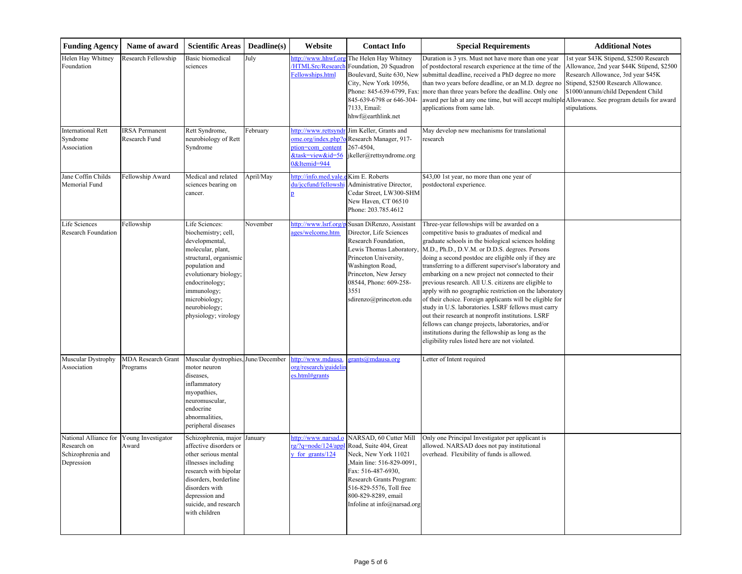| <b>Funding Agency</b>                                                   | Name of award                          | <b>Scientific Areas</b>                                                                                                                                                                                                                     | Deadline(s) | Website                                                                      | <b>Contact Info</b>                                                                                                                                                                                                                       | <b>Special Requirements</b>                                                                                                                                                                                                                                                                                                                                                                                                                                                                                                                                                                                                                                                                                                                                                                                                           | <b>Additional Notes</b>                                                                                                                                                                                                  |
|-------------------------------------------------------------------------|----------------------------------------|---------------------------------------------------------------------------------------------------------------------------------------------------------------------------------------------------------------------------------------------|-------------|------------------------------------------------------------------------------|-------------------------------------------------------------------------------------------------------------------------------------------------------------------------------------------------------------------------------------------|---------------------------------------------------------------------------------------------------------------------------------------------------------------------------------------------------------------------------------------------------------------------------------------------------------------------------------------------------------------------------------------------------------------------------------------------------------------------------------------------------------------------------------------------------------------------------------------------------------------------------------------------------------------------------------------------------------------------------------------------------------------------------------------------------------------------------------------|--------------------------------------------------------------------------------------------------------------------------------------------------------------------------------------------------------------------------|
| Helen Hay Whitney<br>Foundation                                         | Research Fellowship                    | <b>Basic biomedical</b><br>sciences                                                                                                                                                                                                         | July        | ttp://www.hhwf.or<br><b>HTMLSrc/Researc</b><br>Fellowships.html              | The Helen Hay Whitney<br>Foundation, 20 Squadron<br>Boulevard, Suite 630, New<br>City, New York 10956,<br>Phone: 845-639-6799, Fax:<br>845-639-6798 or 646-304-<br>7133, Email:<br>hhwf@earthlink.net                                     | Duration is 3 yrs. Must not have more than one year<br>of postdoctoral research experience at the time of the<br>submittal deadline, received a PhD degree no more<br>than two years before deadline, or an M.D. degree no<br>more than three years before the deadline. Only one<br>award per lab at any one time, but will accept multiple Allowance. See program details for award<br>applications from same lab.                                                                                                                                                                                                                                                                                                                                                                                                                  | 1st year \$43K Stipend, \$2500 Research<br>Allowance, 2nd year \$44K Stipend, \$2500<br>Research Allowance, 3rd year \$45K<br>Stipend, \$2500 Research Allowance.<br>\$1000/annum/child Dependent Child<br>stipulations. |
| <b>International Rett</b><br>Syndrome<br>Association                    | <b>IRSA</b> Permanent<br>Research Fund | Rett Syndrome,<br>neurobiology of Rett<br>Syndrome                                                                                                                                                                                          | February    | http://www.rettsyndr<br>ption=com content<br>&task=view&id=56<br>&Itemid=944 | Jim Keller, Grants and<br>ome.org/index.php?o Research Manager, 917-<br>267-4504,<br>jkeller@rettsyndrome.org                                                                                                                             | May develop new mechanisms for translational<br>research                                                                                                                                                                                                                                                                                                                                                                                                                                                                                                                                                                                                                                                                                                                                                                              |                                                                                                                                                                                                                          |
| Jane Coffin Childs<br>Memorial Fund                                     | Fellowship Award                       | Medical and related<br>sciences bearing on<br>cancer.                                                                                                                                                                                       | April/May   | http://info.med.yale.<br>du/jccfund/fellowshi                                | Kim E. Roberts<br>Administrative Director,<br>Cedar Street, LW300-SHM<br>New Haven, CT 06510<br>Phone: 203.785.4612                                                                                                                       | \$43,00 1st year, no more than one year of<br>postdoctoral experience.                                                                                                                                                                                                                                                                                                                                                                                                                                                                                                                                                                                                                                                                                                                                                                |                                                                                                                                                                                                                          |
| Life Sciences<br><b>Research Foundation</b>                             | Fellowship                             | Life Sciences:<br>biochemistry; cell,<br>developmental,<br>molecular, plant,<br>structural, organismic<br>population and<br>evolutionary biology<br>endocrinology;<br>immunology;<br>microbiology;<br>neurobiology;<br>physiology; virology | November    | http://www.lsrf.org<br>ages/welcome.htm                                      | Susan DiRenzo, Assistant<br>Director, Life Sciences<br>Research Foundation,<br>Lewis Thomas Laboratory,<br>Princeton University,<br>Washington Road,<br>Princeton, New Jersey<br>08544, Phone: 609-258-<br>3551<br>sdirenzo@princeton.edu | Three-year fellowships will be awarded on a<br>competitive basis to graduates of medical and<br>graduate schools in the biological sciences holding<br>M.D., Ph.D., D.V.M. or D.D.S. degrees. Persons<br>doing a second postdoc are eligible only if they are<br>transferring to a different supervisor's laboratory and<br>embarking on a new project not connected to their<br>previous research. All U.S. citizens are eligible to<br>apply with no geographic restriction on the laboratory<br>of their choice. Foreign applicants will be eligible for<br>study in U.S. laboratories. LSRF fellows must carry<br>out their research at nonprofit institutions. LSRF<br>fellows can change projects, laboratories, and/or<br>institutions during the fellowship as long as the<br>eligibility rules listed here are not violated. |                                                                                                                                                                                                                          |
| Muscular Dystrophy<br>Association                                       | <b>MDA Research Grant</b><br>Programs  | Muscular dystrophies, June/December<br>motor neuron<br>diseases,<br>inflammatory<br>myopathies,<br>neuromuscular,<br>endocrine<br>abnormalities,<br>peripheral diseases                                                                     |             | http://www.mdausa<br>org/research/guidelin<br>es.html#grants                 | grants@mdausa.org                                                                                                                                                                                                                         | Letter of Intent required                                                                                                                                                                                                                                                                                                                                                                                                                                                                                                                                                                                                                                                                                                                                                                                                             |                                                                                                                                                                                                                          |
| National Alliance for<br>Research on<br>Schizophrenia and<br>Depression | Young Investigator<br>Award            | Schizophrenia, major<br>affective disorders or<br>other serious mental<br>illnesses including<br>research with bipolar<br>disorders, borderline<br>disorders with<br>depression and<br>suicide, and research<br>with children               | January     | http://www.narsad.o<br>rg/?q=node/124/appl<br>y for grants/124               | NARSAD, 60 Cutter Mill<br>Road, Suite 404, Great<br>Neck, New York 11021<br>Main line: 516-829-0091,<br>Fax: 516-487-6930,<br>Research Grants Program:<br>516-829-5576, Toll free<br>800-829-8289, email<br>Infoline at info@narsad.org   | Only one Principal Investigator per applicant is<br>allowed. NARSAD does not pay institutional<br>overhead. Flexibility of funds is allowed.                                                                                                                                                                                                                                                                                                                                                                                                                                                                                                                                                                                                                                                                                          |                                                                                                                                                                                                                          |